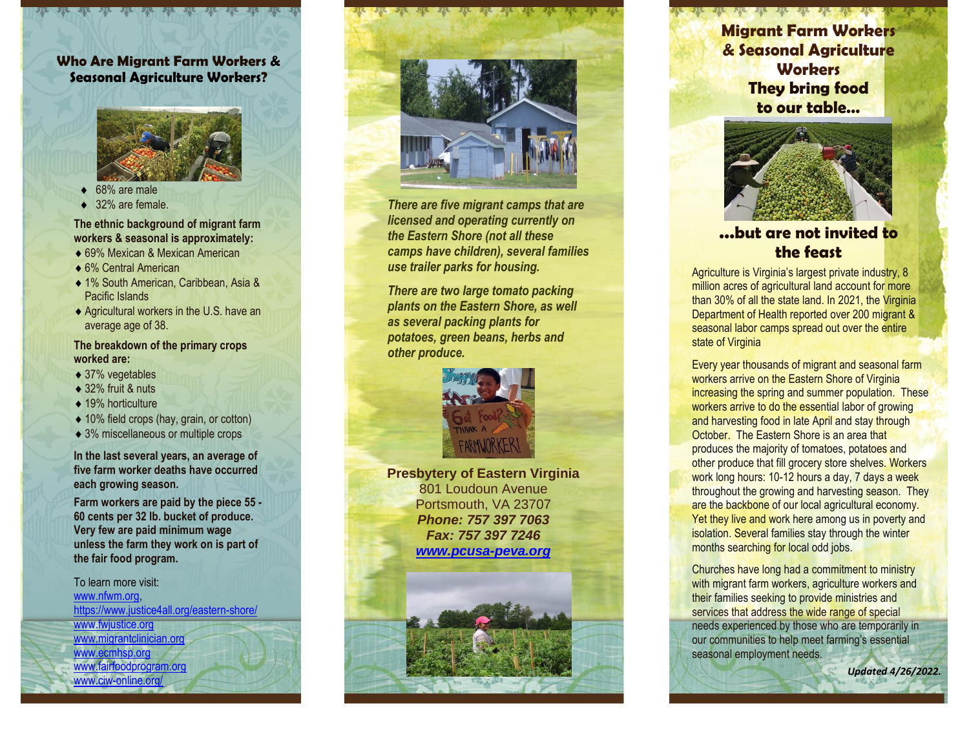### **Who Are Migrant Farm Workers & Seasonal Agricultu re Workers ?**



- 68% are male
- 32% are female.

#### **The ethnic background of migrant farm workers & seasonal is approxim ately:**

- ◆ 69% Mexican & Mexican American
- ◆ 6% Central American
- 1 % South American, Caribbean, Asia & Pacific Islands
- ◆ Agricultural workers in the U.S. have an average age of 38.

# **The breakdown of the primary crops worked are:**

- ◆ 37% vegetables
- ◆ 32% fruit & nuts
- ◆ 19% horticulture
- ◆ 10% field crops (hay, grain, or cotton)
- ◆ 3% miscellaneous or multiple crops

**In the last several years, an average of five farm worker deaths have occurred each growing season.**

**Farm workers are paid by the piece 55 - 60 cents per 32 lb . bucke t of produce . Very few are paid minimum wage unless the farm they work on is part of the fair food program.**

To learn more visit: <u>[www.nfwm.org,](http://www.nfwm.org/)</u><br>[https://www.justice4all.org/eastern](https://www.justice4all.org/eastern-shore/)-shore/ [www.fwjustice.org](http://www.fwjustice.org/) www.migra[ntclinician.org](http://www.migrantclinician.org/) [www.ecmhsp.org](http://www.ecmhsp.org/) [www.fairfoodprogram.org](http://www.fairfoodprogram.org/) www.ciw [-online.org/](http://www.ciw-online.org/)



*There are five migrant camps that are licensed and operating currently on the Eastern Shore (not all these camps have children), several families*  **use trailer parks for housing.** 

*There are two large tomato packing plants on the Eastern Shore , as well as several packing plants for potatoes , green beans, herbs and other produce.*



**Presbytery of Eastern Virginia** 801 Loudoun Avenue Portsmouth, VA 23707 *Phone: 757 397 7063 Fax: 757 397 7246 [www.pcusa](http://www.pcusa-peva.org/) -peva.org*



**Migrant Farm Workers & Seasonal Agriculture Worbers They bring food to our table …**



# **… but are not invited to the feast**

Agriculture is Virginia's largest private industry, 8 million acres of agricultural land account for more than 30% o f all the state land. In 202 1, the Virginia Department of Health reported over 200 migrant & seasonal labor camps spread out over the entire state of Virginia<br>Every year thousands of migrant and seasonal farm

workers arrive on the Eastern Shore of Virginia increasing the spring and summer population. These workers arrive to do the essential labor of growing and harvesting food in late April and stay through October. The Eastern Shore is an area that produces the majority of tomatoes, potatoes and other produce that fill grocery store shelves. Workers work long hours: 10-12 hours a day, 7 days a week throughout the growing and harvesting season. They are the backbone of our local agricultural economy. Yet they live and work here among us in poverty and isolation. Several families stay through the winter months searching for local odd jobs.

Churches have long had a commitment to ministry with migrant farm workers, agriculture workers and their families seeking to provide ministries and services that address the wide range of special needs experienced by those who are temporarily in our communities to help meet farming's ess ential seasonal employment needs.

*Updated 4/26/2022 .*